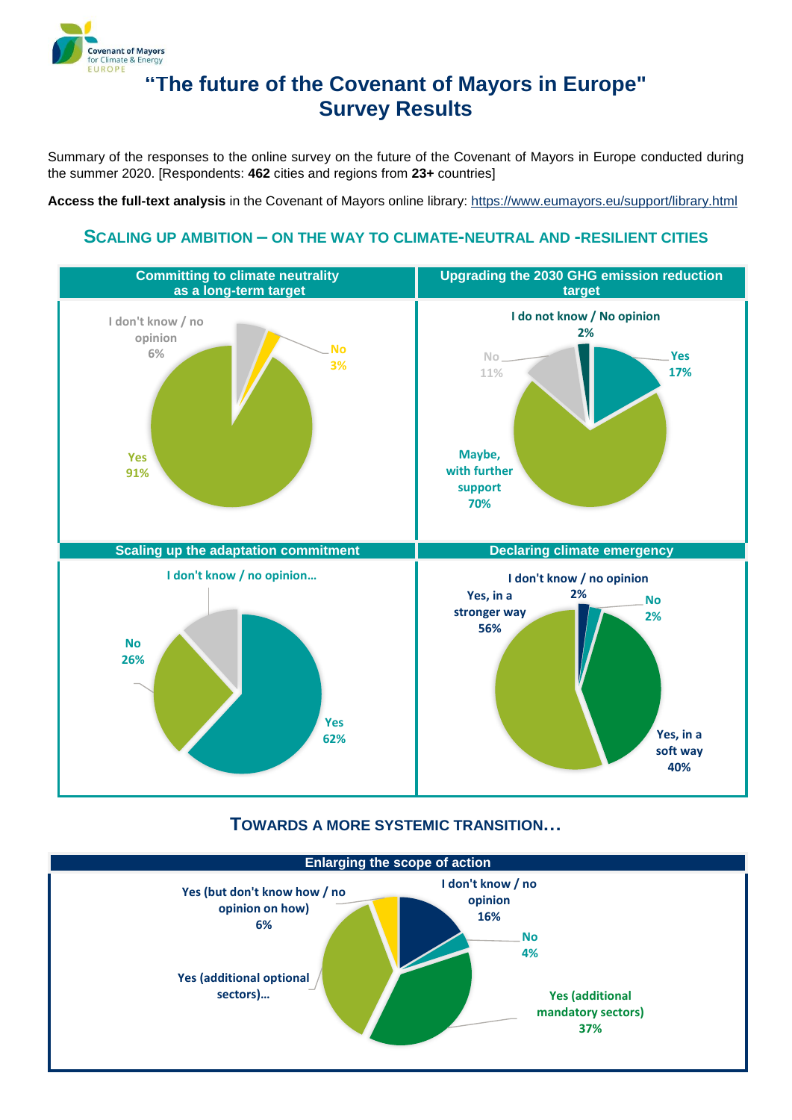

# **"The future of the Covenant of Mayors in Europe" Survey Results**

Summary of the responses to the online survey on the future of the Covenant of Mayors in Europe conducted during the summer 2020. [Respondents: **462** cities and regions from **23+** countries]

**Access the full-text analysis** in the Covenant of Mayors online library:<https://www.eumayors.eu/support/library.html>

#### **SCALING UP AMBITION – ON THE WAY TO CLIMATE-NEUTRAL AND -RESILIENT CITIES**



#### **TOWARDS A MORE SYSTEMIC TRANSITION…**